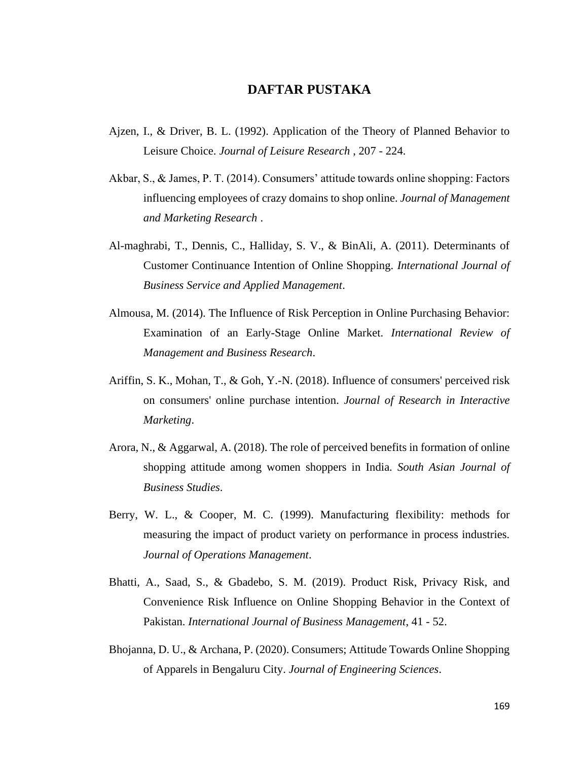## **DAFTAR PUSTAKA**

- Ajzen, I., & Driver, B. L. (1992). Application of the Theory of Planned Behavior to Leisure Choice. *Journal of Leisure Research* , 207 - 224.
- Akbar, S., & James, P. T. (2014). Consumers' attitude towards online shopping: Factors influencing employees of crazy domains to shop online. *Journal of Management and Marketing Research* .
- Al-maghrabi, T., Dennis, C., Halliday, S. V., & BinAli, A. (2011). Determinants of Customer Continuance Intention of Online Shopping. *International Journal of Business Service and Applied Management*.
- Almousa, M. (2014). The Influence of Risk Perception in Online Purchasing Behavior: Examination of an Early-Stage Online Market. *International Review of Management and Business Research*.
- Ariffin, S. K., Mohan, T., & Goh, Y.-N. (2018). Influence of consumers' perceived risk on consumers' online purchase intention. *Journal of Research in Interactive Marketing*.
- Arora, N., & Aggarwal, A. (2018). The role of perceived benefits in formation of online shopping attitude among women shoppers in India. *South Asian Journal of Business Studies*.
- Berry, W. L., & Cooper, M. C. (1999). Manufacturing flexibility: methods for measuring the impact of product variety on performance in process industries. *Journal of Operations Management*.
- Bhatti, A., Saad, S., & Gbadebo, S. M. (2019). Product Risk, Privacy Risk, and Convenience Risk Influence on Online Shopping Behavior in the Context of Pakistan. *International Journal of Business Management*, 41 - 52.
- Bhojanna, D. U., & Archana, P. (2020). Consumers; Attitude Towards Online Shopping of Apparels in Bengaluru City. *Journal of Engineering Sciences*.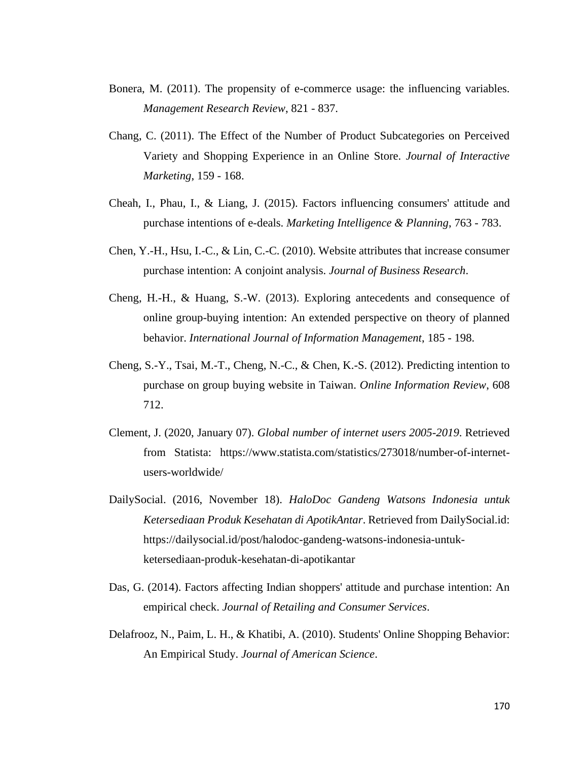- Bonera, M. (2011). The propensity of e-commerce usage: the influencing variables. *Management Research Review*, 821 - 837.
- Chang, C. (2011). The Effect of the Number of Product Subcategories on Perceived Variety and Shopping Experience in an Online Store. *Journal of Interactive Marketing*, 159 - 168.
- Cheah, I., Phau, I., & Liang, J. (2015). Factors influencing consumers' attitude and purchase intentions of e-deals. *Marketing Intelligence & Planning*, 763 - 783.
- Chen, Y.-H., Hsu, I.-C., & Lin, C.-C. (2010). Website attributes that increase consumer purchase intention: A conjoint analysis. *Journal of Business Research*.
- Cheng, H.-H., & Huang, S.-W. (2013). Exploring antecedents and consequence of online group-buying intention: An extended perspective on theory of planned behavior. *International Journal of Information Management*, 185 - 198.
- Cheng, S.-Y., Tsai, M.-T., Cheng, N.-C., & Chen, K.-S. (2012). Predicting intention to purchase on group buying website in Taiwan. *Online Information Review*, 608 712.
- Clement, J. (2020, January 07). *Global number of internet users 2005-2019*. Retrieved from Statista: https://www.statista.com/statistics/273018/number-of-internetusers-worldwide/
- DailySocial. (2016, November 18). *HaloDoc Gandeng Watsons Indonesia untuk Ketersediaan Produk Kesehatan di ApotikAntar*. Retrieved from DailySocial.id: https://dailysocial.id/post/halodoc-gandeng-watsons-indonesia-untukketersediaan-produk-kesehatan-di-apotikantar
- Das, G. (2014). Factors affecting Indian shoppers' attitude and purchase intention: An empirical check. *Journal of Retailing and Consumer Services*.
- Delafrooz, N., Paim, L. H., & Khatibi, A. (2010). Students' Online Shopping Behavior: An Empirical Study. *Journal of American Science*.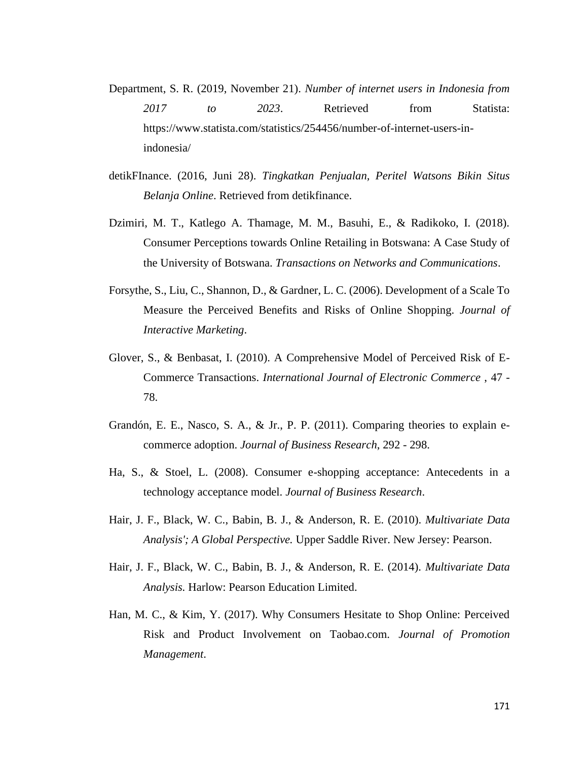Department, S. R. (2019, November 21). *Number of internet users in Indonesia from 2017 to 2023*. Retrieved from Statista: https://www.statista.com/statistics/254456/number-of-internet-users-inindonesia/

- detikFInance. (2016, Juni 28). *Tingkatkan Penjualan, Peritel Watsons Bikin Situs Belanja Online*. Retrieved from detikfinance.
- Dzimiri, M. T., Katlego A. Thamage, M. M., Basuhi, E., & Radikoko, I. (2018). Consumer Perceptions towards Online Retailing in Botswana: A Case Study of the University of Botswana. *Transactions on Networks and Communications*.
- Forsythe, S., Liu, C., Shannon, D., & Gardner, L. C. (2006). Development of a Scale To Measure the Perceived Benefits and Risks of Online Shopping. *Journal of Interactive Marketing*.
- Glover, S., & Benbasat, I. (2010). A Comprehensive Model of Perceived Risk of E-Commerce Transactions. *International Journal of Electronic Commerce* , 47 - 78.
- Grandón, E. E., Nasco, S. A., & Jr., P. P. (2011). Comparing theories to explain ecommerce adoption. *Journal of Business Research*, 292 - 298.
- Ha, S., & Stoel, L. (2008). Consumer e-shopping acceptance: Antecedents in a technology acceptance model. *Journal of Business Research*.
- Hair, J. F., Black, W. C., Babin, B. J., & Anderson, R. E. (2010). *Multivariate Data Analysis'; A Global Perspective.* Upper Saddle River. New Jersey: Pearson.
- Hair, J. F., Black, W. C., Babin, B. J., & Anderson, R. E. (2014). *Multivariate Data Analysis.* Harlow: Pearson Education Limited.
- Han, M. C., & Kim, Y. (2017). Why Consumers Hesitate to Shop Online: Perceived Risk and Product Involvement on Taobao.com. *Journal of Promotion Management*.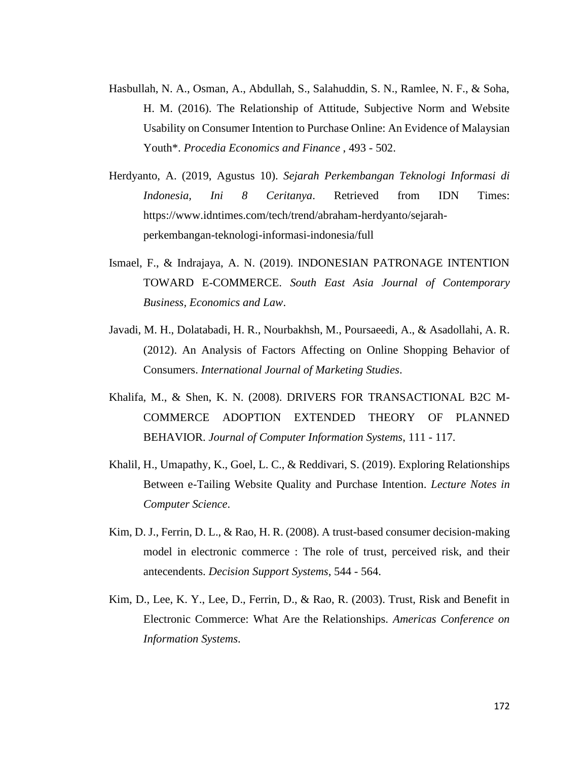- Hasbullah, N. A., Osman, A., Abdullah, S., Salahuddin, S. N., Ramlee, N. F., & Soha, H. M. (2016). The Relationship of Attitude, Subjective Norm and Website Usability on Consumer Intention to Purchase Online: An Evidence of Malaysian Youth\*. *Procedia Economics and Finance* , 493 - 502.
- Herdyanto, A. (2019, Agustus 10). *Sejarah Perkembangan Teknologi Informasi di Indonesia, Ini 8 Ceritanya*. Retrieved from IDN Times: https://www.idntimes.com/tech/trend/abraham-herdyanto/sejarahperkembangan-teknologi-informasi-indonesia/full
- Ismael, F., & Indrajaya, A. N. (2019). INDONESIAN PATRONAGE INTENTION TOWARD E-COMMERCE. *South East Asia Journal of Contemporary Business, Economics and Law*.
- Javadi, M. H., Dolatabadi, H. R., Nourbakhsh, M., Poursaeedi, A., & Asadollahi, A. R. (2012). An Analysis of Factors Affecting on Online Shopping Behavior of Consumers. *International Journal of Marketing Studies*.
- Khalifa, M., & Shen, K. N. (2008). DRIVERS FOR TRANSACTIONAL B2C M-COMMERCE ADOPTION EXTENDED THEORY OF PLANNED BEHAVIOR. *Journal of Computer Information Systems*, 111 - 117.
- Khalil, H., Umapathy, K., Goel, L. C., & Reddivari, S. (2019). Exploring Relationships Between e-Tailing Website Quality and Purchase Intention. *Lecture Notes in Computer Science*.
- Kim, D. J., Ferrin, D. L., & Rao, H. R. (2008). A trust-based consumer decision-making model in electronic commerce : The role of trust, perceived risk, and their antecendents. *Decision Support Systems*, 544 - 564.
- Kim, D., Lee, K. Y., Lee, D., Ferrin, D., & Rao, R. (2003). Trust, Risk and Benefit in Electronic Commerce: What Are the Relationships. *Americas Conference on Information Systems*.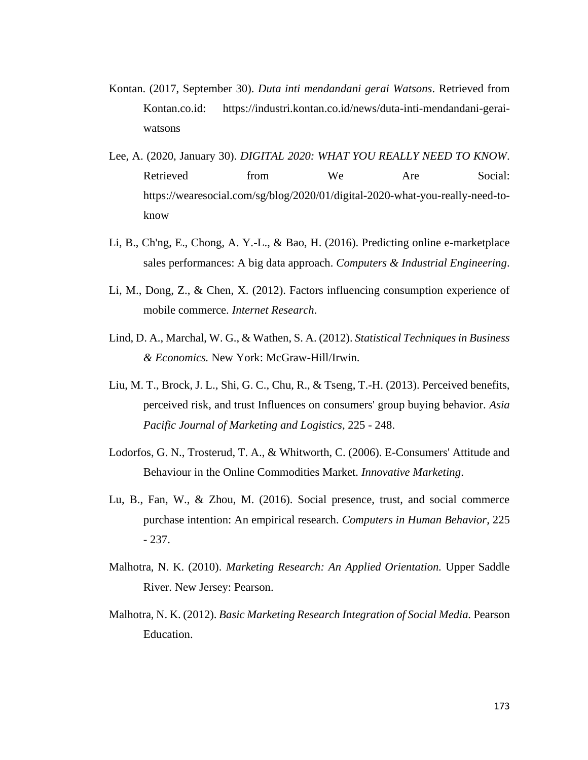- Kontan. (2017, September 30). *Duta inti mendandani gerai Watsons*. Retrieved from Kontan.co.id: https://industri.kontan.co.id/news/duta-inti-mendandani-geraiwatsons
- Lee, A. (2020, January 30). *DIGITAL 2020: WHAT YOU REALLY NEED TO KNOW*. Retrieved from We Are Social: https://wearesocial.com/sg/blog/2020/01/digital-2020-what-you-really-need-toknow
- Li, B., Ch'ng, E., Chong, A. Y.-L., & Bao, H. (2016). Predicting online e-marketplace sales performances: A big data approach. *Computers & Industrial Engineering*.
- Li, M., Dong, Z., & Chen, X. (2012). Factors influencing consumption experience of mobile commerce. *Internet Research*.
- Lind, D. A., Marchal, W. G., & Wathen, S. A. (2012). *Statistical Techniques in Business & Economics.* New York: McGraw-Hill/Irwin.
- Liu, M. T., Brock, J. L., Shi, G. C., Chu, R., & Tseng, T.-H. (2013). Perceived benefits, perceived risk, and trust Influences on consumers' group buying behavior. *Asia Pacific Journal of Marketing and Logistics*, 225 - 248.
- Lodorfos, G. N., Trosterud, T. A., & Whitworth, C. (2006). E-Consumers' Attitude and Behaviour in the Online Commodities Market. *Innovative Marketing*.
- Lu, B., Fan, W., & Zhou, M. (2016). Social presence, trust, and social commerce purchase intention: An empirical research. *Computers in Human Behavior*, 225 - 237.
- Malhotra, N. K. (2010). *Marketing Research: An Applied Orientation.* Upper Saddle River. New Jersey: Pearson.
- Malhotra, N. K. (2012). *Basic Marketing Research Integration of Social Media.* Pearson Education.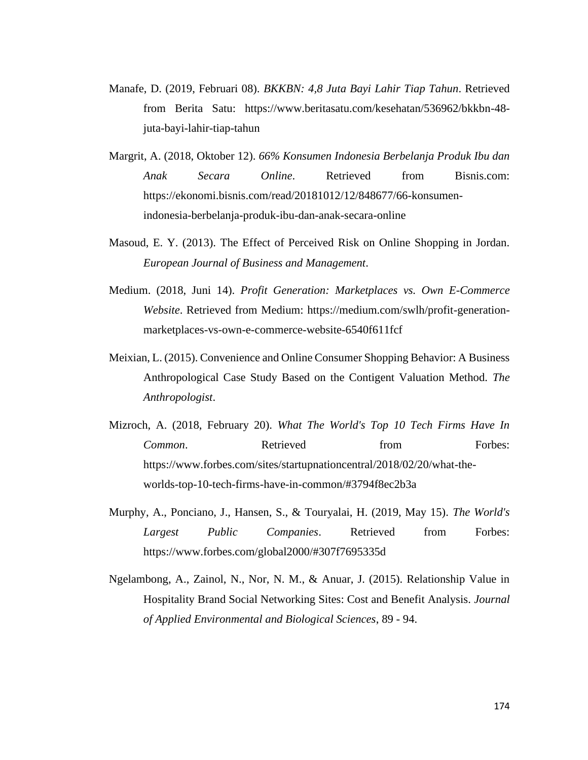- Manafe, D. (2019, Februari 08). *BKKBN: 4,8 Juta Bayi Lahir Tiap Tahun*. Retrieved from Berita Satu: https://www.beritasatu.com/kesehatan/536962/bkkbn-48 juta-bayi-lahir-tiap-tahun
- Margrit, A. (2018, Oktober 12). *66% Konsumen Indonesia Berbelanja Produk Ibu dan Anak Secara Online*. Retrieved from Bisnis.com: https://ekonomi.bisnis.com/read/20181012/12/848677/66-konsumenindonesia-berbelanja-produk-ibu-dan-anak-secara-online
- Masoud, E. Y. (2013). The Effect of Perceived Risk on Online Shopping in Jordan. *European Journal of Business and Management*.
- Medium. (2018, Juni 14). *Profit Generation: Marketplaces vs. Own E-Commerce Website*. Retrieved from Medium: https://medium.com/swlh/profit-generationmarketplaces-vs-own-e-commerce-website-6540f611fcf
- Meixian, L. (2015). Convenience and Online Consumer Shopping Behavior: A Business Anthropological Case Study Based on the Contigent Valuation Method. *The Anthropologist*.
- Mizroch, A. (2018, February 20). *What The World's Top 10 Tech Firms Have In Common.* Retrieved from Forbes: https://www.forbes.com/sites/startupnationcentral/2018/02/20/what-theworlds-top-10-tech-firms-have-in-common/#3794f8ec2b3a
- Murphy, A., Ponciano, J., Hansen, S., & Touryalai, H. (2019, May 15). *The World's Largest Public Companies*. Retrieved from Forbes: https://www.forbes.com/global2000/#307f7695335d
- Ngelambong, A., Zainol, N., Nor, N. M., & Anuar, J. (2015). Relationship Value in Hospitality Brand Social Networking Sites: Cost and Benefit Analysis. *Journal of Applied Environmental and Biological Sciences*, 89 - 94.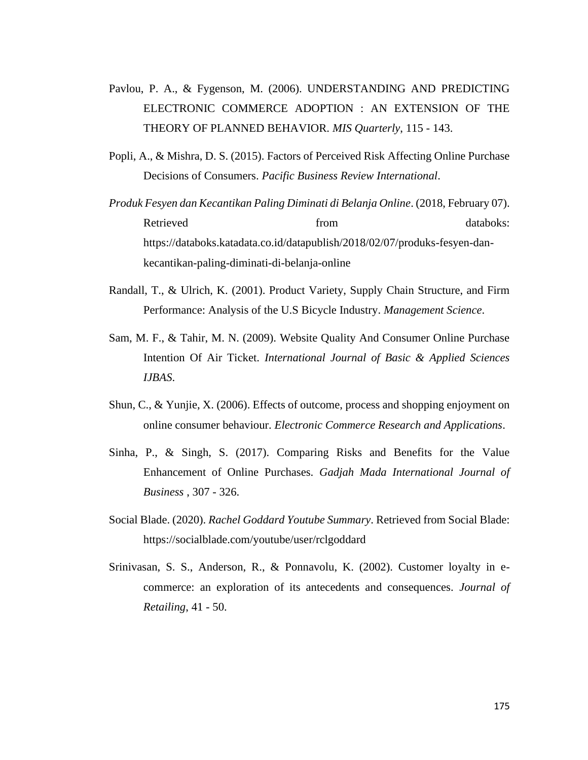- Pavlou, P. A., & Fygenson, M. (2006). UNDERSTANDING AND PREDICTING ELECTRONIC COMMERCE ADOPTION : AN EXTENSION OF THE THEORY OF PLANNED BEHAVIOR. *MIS Quarterly*, 115 - 143.
- Popli, A., & Mishra, D. S. (2015). Factors of Perceived Risk Affecting Online Purchase Decisions of Consumers. *Pacific Business Review International*.
- *Produk Fesyen dan Kecantikan Paling Diminati di Belanja Online*. (2018, February 07). Retrieved from the databoks: https://databoks.katadata.co.id/datapublish/2018/02/07/produks-fesyen-dankecantikan-paling-diminati-di-belanja-online
- Randall, T., & Ulrich, K. (2001). Product Variety, Supply Chain Structure, and Firm Performance: Analysis of the U.S Bicycle Industry. *Management Science*.
- Sam, M. F., & Tahir, M. N. (2009). Website Quality And Consumer Online Purchase Intention Of Air Ticket. *International Journal of Basic & Applied Sciences IJBAS*.
- Shun, C., & Yunjie, X. (2006). Effects of outcome, process and shopping enjoyment on online consumer behaviour. *Electronic Commerce Research and Applications*.
- Sinha, P., & Singh, S. (2017). Comparing Risks and Benefits for the Value Enhancement of Online Purchases. *Gadjah Mada International Journal of Business* , 307 - 326.
- Social Blade. (2020). *Rachel Goddard Youtube Summary*. Retrieved from Social Blade: https://socialblade.com/youtube/user/rclgoddard
- Srinivasan, S. S., Anderson, R., & Ponnavolu, K. (2002). Customer loyalty in ecommerce: an exploration of its antecedents and consequences. *Journal of Retailing*, 41 - 50.